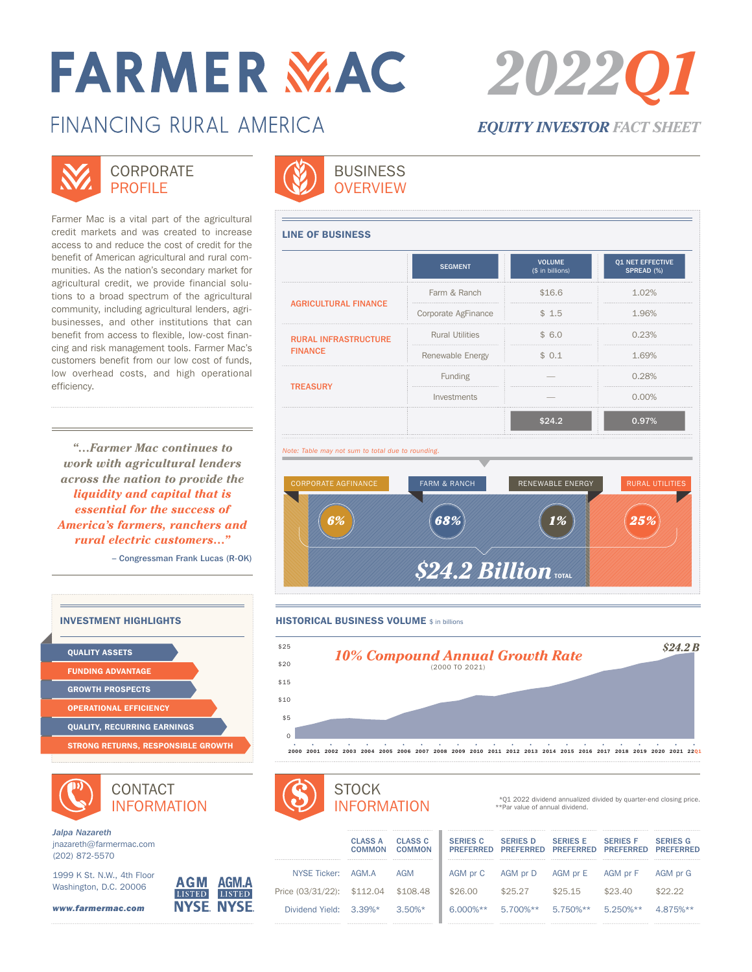# **FARMER MAC**

## FINANCING RURAL AMFRICA

## **CORPORATE** PROFILE<sup></sup>

Farmer Mac is a vital part of the agricultural credit markets and was created to increase access to and reduce the cost of credit for the benefit of American agricultural and rural communities. As the nation's secondary market for agricultural credit, we provide financial solutions to a broad spectrum of the agricultural community, including agricultural lenders, agribusinesses, and other institutions that can benefit from access to flexible, low-cost financing and risk management tools. Farmer Mac's customers benefit from our low cost of funds, low overhead costs, and high operational efficiency.

*"…Farmer Mac continues to work with agricultural lenders across the nation to provide the liquidity and capital that is essential for the success of America's farmers, ranchers and rural electric customers…"*

– Congressman Frank Lucas (R-OK)



CONTACT INFORMATION



*Jalpa Nazareth* jnazareth@farmermac.com (202) 872-5570

1999 K St. N.W., 4th Floor Washington, D.C. 20006

*www.farmermac.com*





|                                               | <b>SEGMENT</b>               | <b>VOLUME</b><br>(\$ in billions) | <b>Q1 NET EFFECTIVE</b><br>SPREAD (%) |
|-----------------------------------------------|------------------------------|-----------------------------------|---------------------------------------|
| <b>AGRICULTURAL FINANCE</b>                   | Farm & Ranch                 | \$16.6                            | 1.02%                                 |
|                                               | Corporate AgFinance<br>\$1.5 |                                   | 1.96%                                 |
| <b>RURAL INFRASTRUCTURE</b><br><b>FINANCE</b> | <b>Rural Utilities</b>       | \$6.0                             | 0.23%                                 |
|                                               | Renewable Energy             | \$0.1                             | 1.69%                                 |
| <b>TREASURY</b>                               | Funding                      |                                   |                                       |
|                                               | Investments                  |                                   | $0.00\%$                              |
|                                               |                              | \$24.2                            | 0.97%                                 |





## **STOCK** INFORMATION

|                        | <b>***************************</b>                         |                              |
|------------------------|------------------------------------------------------------|------------------------------|
|                        | <b>CLASS A</b><br>COMMON<br><b>***********************</b> | <b>CLASS C</b><br>COMMON<br> |
| NYSE Ticker: AGM.A     |                                                            | AGM                          |
| Price (03/31/22):      | \$112.04                                                   | \$108.48                     |
| Dividend Yield: 3.39%* |                                                            | $3.50\%*$                    |
|                        | ------------------------------                             |                              |

|                            | <b>CLASS A</b><br>COMMON | <b>CLASS C</b><br>COMMON | <b>SERIES C</b><br><b>PREFERRED</b> | <b>SERIES D</b><br><b>PRFFFRRFD</b> | <b>SERIES E</b><br><b>PRFFFRRFD</b> | <b>SERIES E</b><br><b>PRFFFRRFD</b> | <b>SERIES G</b><br><b>PRFFFRRFD</b> |
|----------------------------|--------------------------|--------------------------|-------------------------------------|-------------------------------------|-------------------------------------|-------------------------------------|-------------------------------------|
| NYSE Ticker:               | AGM A                    | AGM                      | AGM pr C                            | AGM pr D                            | AGM pr E                            | AGM pr F                            | AGM pr G                            |
| Price (03/31/22): \$112.04 |                          | \$108.48                 | \$26.00                             | \$25.27                             | \$25.15                             | \$23.40                             | \$22.22                             |
| Dividend Yield: 3.39%*     |                          | $3.50\%*$                | $6.000\%**$                         | 5.700%**                            | 5.750%**                            | $5.250\%**$                         | 4.875%**                            |
|                            |                          |                          |                                     |                                     |                                     |                                     |                                     |

\*\*Par value of annual dividend.

\*Q1 2022 dividend annualized divided by quarter-end closing price.



*EQUITY INVESTOR FACT SHEET*